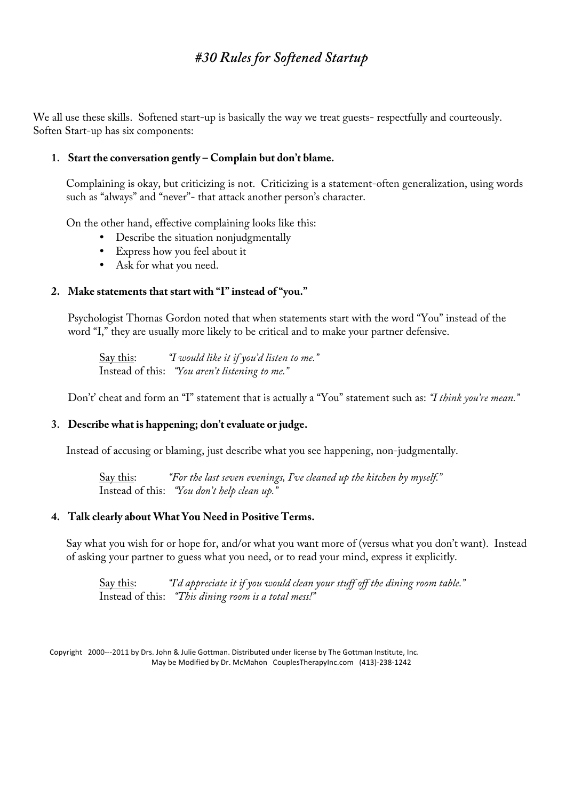# *#30 RulesforSoftened Startup*

We all use these skills. Softened start-up is basically the way we treat guests- respectfully and courteously. Soften Start-up has six components:

# 1. Start the conversation gently – Complain but don't blame.

Complaining is okay, but criticizing is not. Criticizing is a statement-often generalization, using words such as " always " and " never "- that attack another person ' s character.

On the other hand, effective complaining looks like this:

- Describe the situation nonjudgmentally
- Express how you feel about it
- Ask for what you need.

# **2. Make statements thatstartwith "I" instead of" you."**

Psychologist Thomas Gordon noted that when statements start with the word "You " instead of the word "I, " they are usually more likely to be critical and to make your partner defensive.

Say this: *"Iwould likeitifyou 'd listen to me."* Instead of this: *"You aren 'tlistening to me."*

Don 't' cheat and form an "I" statement that is actually a "You " statement such as: *"Ithink you ' remean."*

## **3. Describe whatis happening;don 'tevaluate or judge.**

Instead of accusing or blaming, just describe what you see happening, non-judgmentally.

Say this: *"Forthelastseven evenings,I' vecleaned up thekitchen by myself."* Instead of this: *"You don 'thelp clean up."*

#### **4. Talk clearly aboutWhatYou Need in Positive Terms.**

Say what you wish for or hope for, and/or what you want more of (versus what you don 't want). Instead of asking your partner to guess what you need, or to read your mind, express it explicitly.

Say this: *"I'd appreciateitifyou would clean yourstuffoffthedining room table."* Instead of this: *"Thisdining room isa totalmess!"*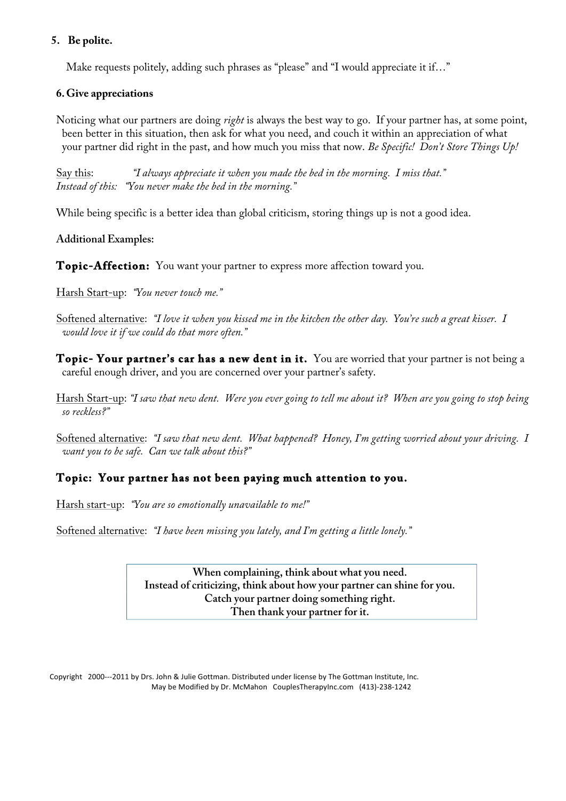### **5. Be polite.**

Make requests politely, adding such phrases as " please " and "I would appreciate it if…"

## **6.Give appreciations**

Noticing what our partners are doing *right*is always the best way to go. If your partner has, at some point, been better in this situation, then ask for what you need, and couch it within an appreciation of what your partner did right in the past, and how much you miss that now. *Be Specific! Don't Store Things Up!* 

Say this: *"Ialwaysappreciateitwhen you madethebed in themorning. Imissthat." Instead ofthis: "You nevermakethebed in themorning."*

While being specific is a better idea than global criticism, storing things up is not a good idea.

**AdditionalExamples:**

**Topic-Affection:** You want your partner to express more affection toward you.

Harsh Start-up: *"You nevertouch me."*

Softened alternative: *"Iloveitwhen you kissed mein thekitchen theotherday. You ' resuch a greatkisser. I would loveitifwecould do thatmoreoften."*

**Topic- Your partner' s car has a new dent in it.** You are worried that your partner is not being a careful enough driver, and you are concerned over your partner ' s safety.

Harsh Start-up: *"Isaw thatnew dent. Wereyou evergoing to tellmeaboutit? When areyou going to stop being so reckless?"*

Softened alternative: *"Isaw thatnew dent. Whathappened? Honey,I' m getting worried aboutyourdriving. I want you to be safe. Can we talk about this?"* 

# **Topic: Your partner has not been paying much attention to you.**

Harsh start-up: *"You areso emotionally unavailableto me!"*

Softened alternative: *"Ihavebeen missing you lately,and I' m getting a littlelonely."*

When complaining, think about what you need. Instead of criticizing, think about how your partner can shine for you. **Catch** your partner doing something right. Then thank your partner for it.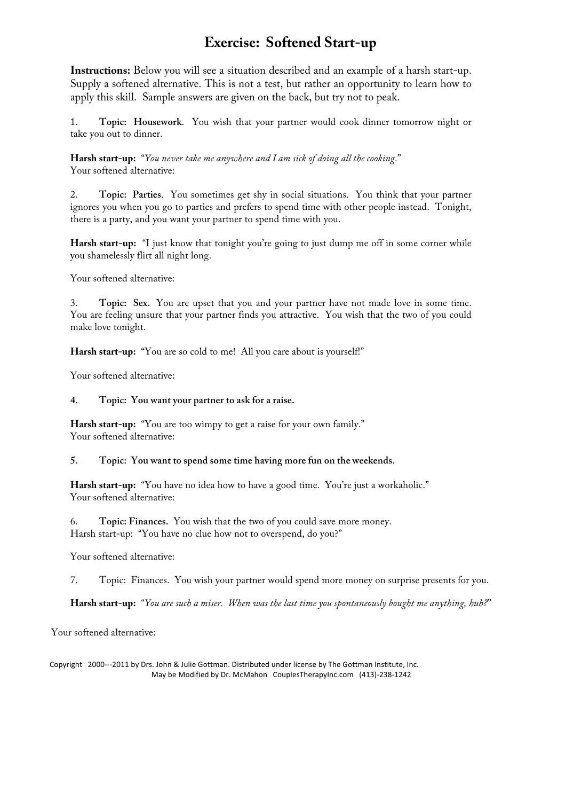# **Exercise: Softened Start-up**

**Instructions:**Below you will see a situation described and an example of a harsh start-up. Supply a softened alternative. This is not a test, but rather an opportunity to learn how to apply this skill. Sample answers are given on the back, but try not to peak.

1. **Topic: Housework**. You wish that your partner would cook dinner tomorrow night or take you out to dinner.

**Harsh start-up:** "*You nevertakemeanywhereand Iam sick ofdoing allthecooking*." Your softened alternative:

2. **Topic: Parties**. You sometimes get shy in social situations. You think that your partner ignores you when you go to parties and prefers to spend time with other people instead. Tonight, there is a party, and you want your partner to spend time with you.

**Harsh start-up:** "I just know that tonight you're going to just dump me off in some corner while you shamelessly flirt all night long.

Your softened alternative:

3. **Topic: Sex.** You are upset that you and your partner have not made love in some time. You are feeling unsure that your partner finds you attractive. You wish that the two of you could make love tonight.

**Harsh start-up:** "You are so cold to me! All you care about is yourself!"

Your softened alternative:

#### **4. Topic: You wantyourpartnerto ask fora raise.**

**Harsh start-up:** "You are too wimpy to get a raise for your own family." Your softened alternative:

#### **5. Topic: You wantto spend some time having more fun on theweekends.**

**Harsh start-up:** "You have no idea how to have a good time. You're just a workaholic." Your softened alternative:

6. **Topic:Finances.** You wish that the two of you could save more money. Harsh start-up: "You have no clue how not to overspend, do you?"

Your softened alternative:

7. Topic: Finances. You wish your partner would spend more money on surprise presents for you.

**Harsh start-up:** "*You aresuch a miser. When wasthelasttimeyou spontaneously boughtmeanything,huh?*"

Your softened alternative: